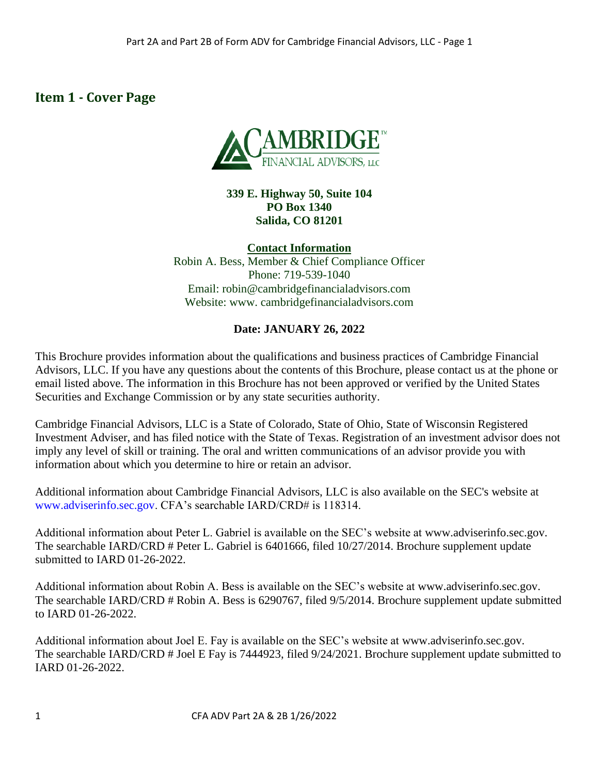# <span id="page-0-0"></span>**Item 1 - Cover Page**



## **339 E. Highway 50, Suite 104 PO Box 1340 Salida, CO 81201**

**Contact Information**

Robin A. Bess, Member & Chief Compliance Officer Phone: 719-539-1040 Email: robin@cambridgefinancialadvisors.com Website: www. cambridgefinancialadvisors.com

## **Date: JANUARY 26, 2022**

This Brochure provides information about the qualifications and business practices of Cambridge Financial Advisors, LLC. If you have any questions about the contents of this Brochure, please contact us at the phone or email listed above. The information in this Brochure has not been approved or verified by the United States Securities and Exchange Commission or by any state securities authority.

Cambridge Financial Advisors, LLC is a State of Colorado, State of Ohio, State of Wisconsin Registered Investment Adviser, and has filed notice with the State of Texas. Registration of an investment advisor does not imply any level of skill or training. The oral and written communications of an advisor provide you with information about which you determine to hire or retain an advisor.

Additional information about Cambridge Financial Advisors, LLC is also available on the SEC's website at www.adviserinfo.sec.gov. CFA's searchable IARD/CRD# is 118314.

Additional information about Peter L. Gabriel is available on the SEC's website at [www.adviserinfo.sec.gov.](http://www.adviserinfo.sec.gov/) The searchable IARD/CRD # Peter L. Gabriel is 6401666, filed 10/27/2014. Brochure supplement update submitted to IARD 01-26-2022.

Additional information about Robin A. Bess is available on the SEC's website at [www.adviserinfo.sec.gov.](http://www.adviserinfo.sec.gov/) The searchable IARD/CRD # Robin A. Bess is 6290767, filed 9/5/2014. Brochure supplement update submitted to IARD 01-26-2022.

Additional information about Joel E. Fay is available on the SEC's website at [www.adviserinfo.sec.gov.](http://www.adviserinfo.sec.gov/) The searchable IARD/CRD # Joel E Fay is 7444923, filed 9/24/2021. Brochure supplement update submitted to IARD 01-26-2022.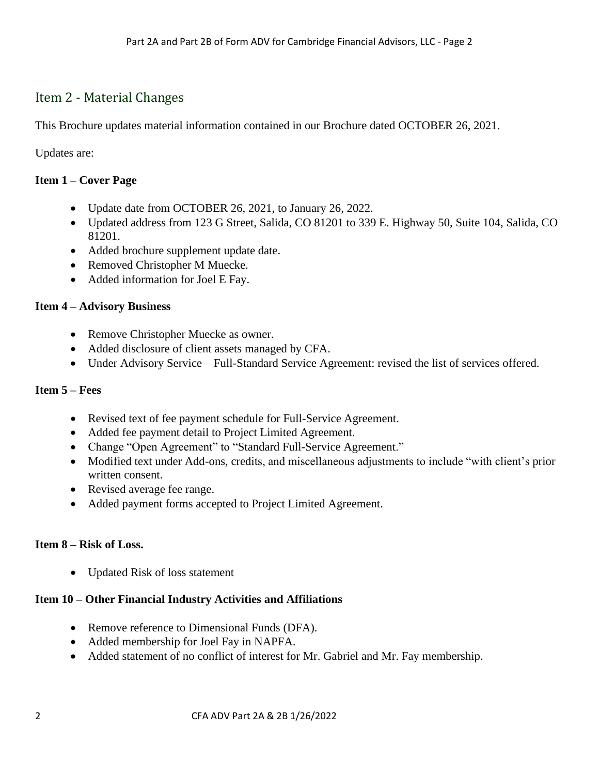# <span id="page-1-0"></span>Item 2 - Material Changes

This Brochure updates material information contained in our Brochure dated OCTOBER 26, 2021.

Updates are:

## **Item 1 – Cover Page**

- Update date from OCTOBER 26, 2021, to January 26, 2022.
- Updated address from 123 G Street, Salida, CO 81201 to 339 E. Highway 50, Suite 104, Salida, CO 81201.
- Added brochure supplement update date.
- Removed Christopher M Muecke.
- Added information for Joel E Fay.

## **Item 4 – Advisory Business**

- Remove Christopher Muecke as owner.
- Added disclosure of client assets managed by CFA.
- Under Advisory Service Full-Standard Service Agreement: revised the list of services offered.

## **Item 5 – Fees**

- Revised text of fee payment schedule for Full-Service Agreement.
- Added fee payment detail to Project Limited Agreement.
- Change "Open Agreement" to "Standard Full-Service Agreement."
- Modified text under Add-ons, credits, and miscellaneous adjustments to include "with client's prior written consent.
- Revised average fee range.
- Added payment forms accepted to Project Limited Agreement.

## **Item 8 – Risk of Loss.**

• Updated Risk of loss statement

## **Item 10 – Other Financial Industry Activities and Affiliations**

- Remove reference to Dimensional Funds (DFA).
- Added membership for Joel Fay in NAPFA.
- Added statement of no conflict of interest for Mr. Gabriel and Mr. Fay membership.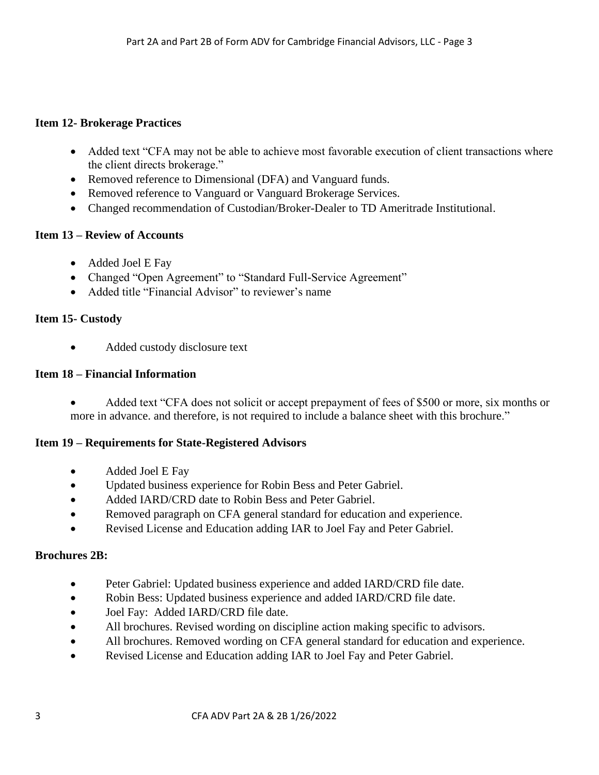## **Item 12- Brokerage Practices**

- Added text "CFA may not be able to achieve most favorable execution of client transactions where the client directs brokerage."
- Removed reference to Dimensional (DFA) and Vanguard funds.
- Removed reference to Vanguard or Vanguard Brokerage Services.
- Changed recommendation of Custodian/Broker-Dealer to TD Ameritrade Institutional.

## **Item 13 – Review of Accounts**

- Added Joel E Fay
- Changed "Open Agreement" to "Standard Full-Service Agreement"
- Added title "Financial Advisor" to reviewer's name

## **Item 15- Custody**

• Added custody disclosure text

## **Item 18 – Financial Information**

Added text "CFA does not solicit or accept prepayment of fees of \$500 or more, six months or more in advance. and therefore, is not required to include a balance sheet with this brochure."

## **Item 19 – Requirements for State-Registered Advisors**

- Added Joel E Fay
- Updated business experience for Robin Bess and Peter Gabriel.
- Added IARD/CRD date to Robin Bess and Peter Gabriel.
- Removed paragraph on CFA general standard for education and experience.
- Revised License and Education adding IAR to Joel Fay and Peter Gabriel.

## **Brochures 2B:**

- Peter Gabriel: Updated business experience and added IARD/CRD file date.
- Robin Bess: Updated business experience and added IARD/CRD file date.
- Joel Fay: Added IARD/CRD file date.
- All brochures. Revised wording on discipline action making specific to advisors.
- All brochures. Removed wording on CFA general standard for education and experience.
- Revised License and Education adding IAR to Joel Fay and Peter Gabriel.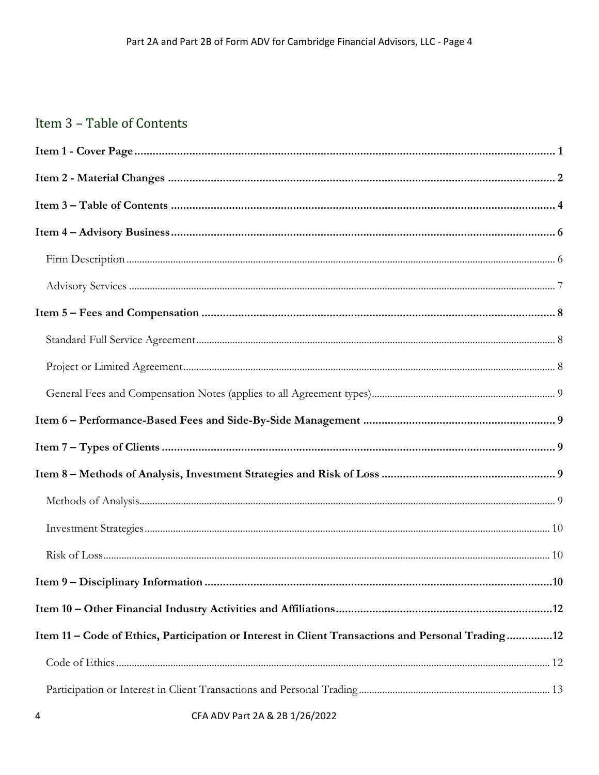# <span id="page-3-0"></span>Item 3 - Table of Contents

| Item 11 – Code of Ethics, Participation or Interest in Client Transactions and Personal Trading12 |  |
|---------------------------------------------------------------------------------------------------|--|
|                                                                                                   |  |
|                                                                                                   |  |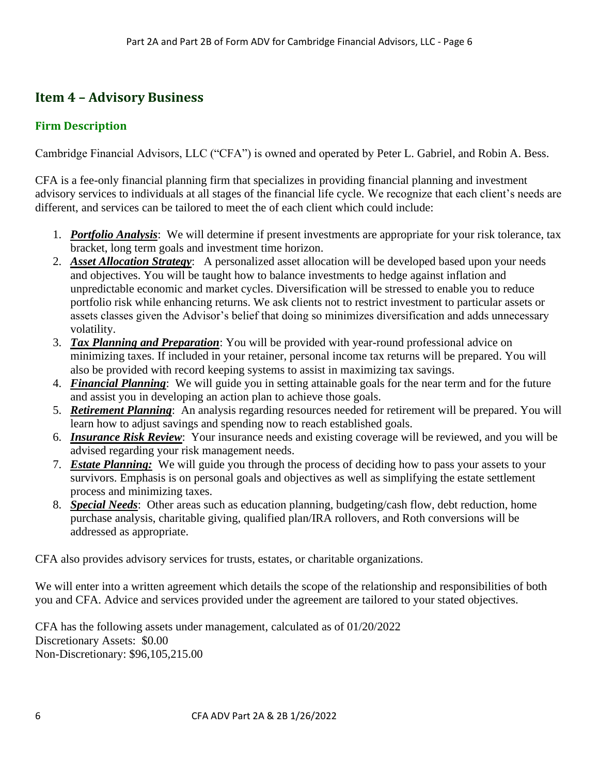# <span id="page-5-0"></span>**Item 4 – Advisory Business**

# <span id="page-5-1"></span>**Firm Description**

Cambridge Financial Advisors, LLC ("CFA") is owned and operated by Peter L. Gabriel, and Robin A. Bess.

CFA is a fee-only financial planning firm that specializes in providing financial planning and investment advisory services to individuals at all stages of the financial life cycle. We recognize that each client's needs are different, and services can be tailored to meet the of each client which could include:

- 1. *Portfolio Analysis*: We will determine if present investments are appropriate for your risk tolerance, tax bracket, long term goals and investment time horizon.
- 2. *Asset Allocation Strategy*: A personalized asset allocation will be developed based upon your needs and objectives. You will be taught how to balance investments to hedge against inflation and unpredictable economic and market cycles. Diversification will be stressed to enable you to reduce portfolio risk while enhancing returns. We ask clients not to restrict investment to particular assets or assets classes given the Advisor's belief that doing so minimizes diversification and adds unnecessary volatility.
- 3. *Tax Planning and Preparation*: You will be provided with year-round professional advice on minimizing taxes. If included in your retainer, personal income tax returns will be prepared. You will also be provided with record keeping systems to assist in maximizing tax savings.
- 4. *Financial Planning*: We will guide you in setting attainable goals for the near term and for the future and assist you in developing an action plan to achieve those goals.
- 5. *Retirement Planning*: An analysis regarding resources needed for retirement will be prepared. You will learn how to adjust savings and spending now to reach established goals.
- 6. *Insurance Risk Review*: Your insurance needs and existing coverage will be reviewed, and you will be advised regarding your risk management needs.
- 7. *Estate Planning:* We will guide you through the process of deciding how to pass your assets to your survivors. Emphasis is on personal goals and objectives as well as simplifying the estate settlement process and minimizing taxes.
- 8. *Special Needs*: Other areas such as education planning, budgeting/cash flow, debt reduction, home purchase analysis, charitable giving, qualified plan/IRA rollovers, and Roth conversions will be addressed as appropriate.

CFA also provides advisory services for trusts, estates, or charitable organizations.

We will enter into a written agreement which details the scope of the relationship and responsibilities of both you and CFA. Advice and services provided under the agreement are tailored to your stated objectives.

CFA has the following assets under management, calculated as of 01/20/2022 Discretionary Assets: \$0.00 Non-Discretionary: \$96,105,215.00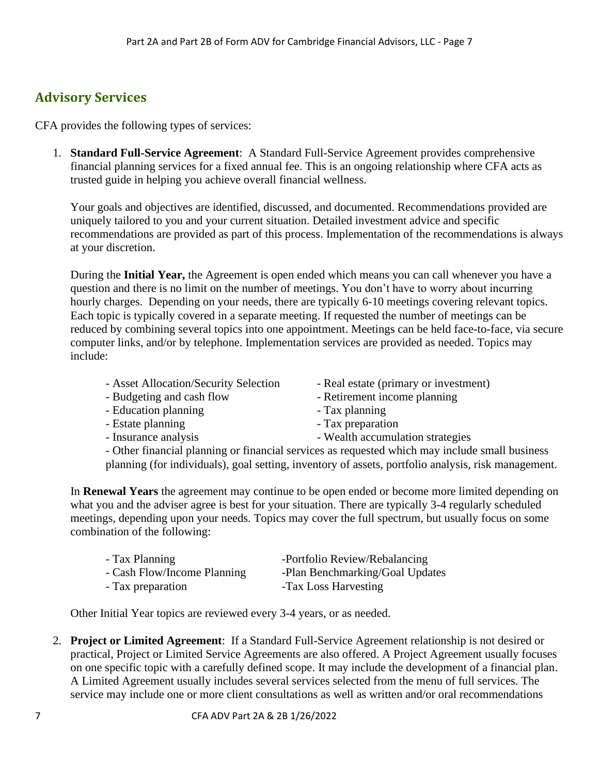# <span id="page-6-0"></span>**Advisory Services**

CFA provides the following types of services:

1. **Standard Full-Service Agreement**: A Standard Full-Service Agreement provides comprehensive financial planning services for a fixed annual fee. This is an ongoing relationship where CFA acts as trusted guide in helping you achieve overall financial wellness.

Your goals and objectives are identified, discussed, and documented. Recommendations provided are uniquely tailored to you and your current situation. Detailed investment advice and specific recommendations are provided as part of this process. Implementation of the recommendations is always at your discretion.

During the **Initial Year,** the Agreement is open ended which means you can call whenever you have a question and there is no limit on the number of meetings. You don't have to worry about incurring hourly charges. Depending on your needs, there are typically 6-10 meetings covering relevant topics. Each topic is typically covered in a separate meeting. If requested the number of meetings can be reduced by combining several topics into one appointment. Meetings can be held face-to-face, via secure computer links, and/or by telephone. Implementation services are provided as needed. Topics may include:

- Asset Allocation/Security Selection Real estate (primary or investment)
- 
- Education planning Tax planning
- Estate planning  $\overline{\phantom{a}}$  Tax preparation
- 
- 
- Budgeting and cash flow Retirement income planning
	-
	-
- Insurance analysis  **Wealth accumulation strategies**
- Other financial planning or financial services as requested which may include small business

planning (for individuals), goal setting, inventory of assets, portfolio analysis, risk management.

In **Renewal Years** the agreement may continue to be open ended or become more limited depending on what you and the adviser agree is best for your situation. There are typically 3-4 regularly scheduled meetings, depending upon your needs. Topics may cover the full spectrum, but usually focus on some combination of the following:

| - Tax Planning              | -Portfolio Review/Rebalancing   |
|-----------------------------|---------------------------------|
| - Cash Flow/Income Planning | -Plan Benchmarking/Goal Updates |
| - Tax preparation           | -Tax Loss Harvesting            |

Other Initial Year topics are reviewed every 3-4 years, or as needed.

2. **Project or Limited Agreement**: If a Standard Full-Service Agreement relationship is not desired or practical, Project or Limited Service Agreements are also offered. A Project Agreement usually focuses on one specific topic with a carefully defined scope. It may include the development of a financial plan. A Limited Agreement usually includes several services selected from the menu of full services. The service may include one or more client consultations as well as written and/or oral recommendations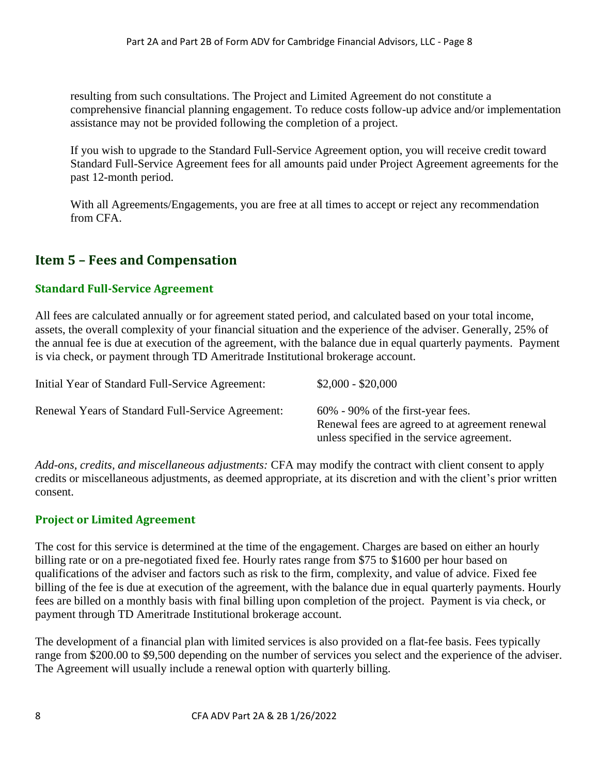resulting from such consultations. The Project and Limited Agreement do not constitute a comprehensive financial planning engagement. To reduce costs follow-up advice and/or implementation assistance may not be provided following the completion of a project.

If you wish to upgrade to the Standard Full-Service Agreement option, you will receive credit toward Standard Full-Service Agreement fees for all amounts paid under Project Agreement agreements for the past 12-month period.

With all Agreements/Engagements, you are free at all times to accept or reject any recommendation from CFA.

# <span id="page-7-0"></span>**Item 5 – Fees and Compensation**

## <span id="page-7-1"></span>**Standard Full-Service Agreement**

All fees are calculated annually or for agreement stated period, and calculated based on your total income, assets, the overall complexity of your financial situation and the experience of the adviser. Generally, 25% of the annual fee is due at execution of the agreement, with the balance due in equal quarterly payments. Payment is via check, or payment through TD Ameritrade Institutional brokerage account.

| Initial Year of Standard Full-Service Agreement:  | $$2,000 - $20,000$                                                                                                                    |
|---------------------------------------------------|---------------------------------------------------------------------------------------------------------------------------------------|
| Renewal Years of Standard Full-Service Agreement: | $60\%$ - 90% of the first-year fees.<br>Renewal fees are agreed to at agreement renewal<br>unless specified in the service agreement. |

*Add-ons, credits, and miscellaneous adjustments:* CFA may modify the contract with client consent to apply credits or miscellaneous adjustments, as deemed appropriate, at its discretion and with the client's prior written consent.

## <span id="page-7-2"></span>**Project or Limited Agreement**

The cost for this service is determined at the time of the engagement. Charges are based on either an hourly billing rate or on a pre-negotiated fixed fee. Hourly rates range from \$75 to \$1600 per hour based on qualifications of the adviser and factors such as risk to the firm, complexity, and value of advice. Fixed fee billing of the fee is due at execution of the agreement, with the balance due in equal quarterly payments. Hourly fees are billed on a monthly basis with final billing upon completion of the project. Payment is via check, or payment through TD Ameritrade Institutional brokerage account.

The development of a financial plan with limited services is also provided on a flat-fee basis. Fees typically range from \$200.00 to \$9,500 depending on the number of services you select and the experience of the adviser. The Agreement will usually include a renewal option with quarterly billing.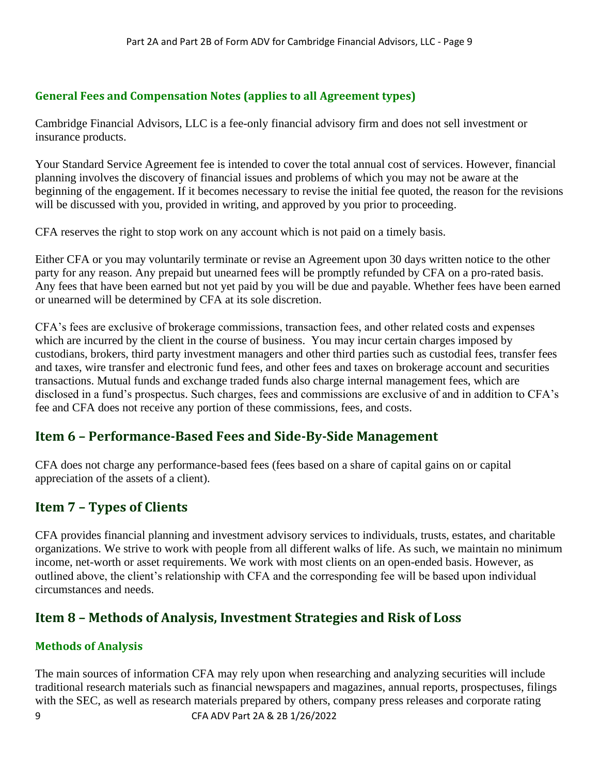# <span id="page-8-0"></span>**General Fees and Compensation Notes (applies to all Agreement types)**

Cambridge Financial Advisors, LLC is a fee-only financial advisory firm and does not sell investment or insurance products.

Your Standard Service Agreement fee is intended to cover the total annual cost of services. However, financial planning involves the discovery of financial issues and problems of which you may not be aware at the beginning of the engagement. If it becomes necessary to revise the initial fee quoted, the reason for the revisions will be discussed with you, provided in writing, and approved by you prior to proceeding.

CFA reserves the right to stop work on any account which is not paid on a timely basis.

Either CFA or you may voluntarily terminate or revise an Agreement upon 30 days written notice to the other party for any reason. Any prepaid but unearned fees will be promptly refunded by CFA on a pro-rated basis. Any fees that have been earned but not yet paid by you will be due and payable. Whether fees have been earned or unearned will be determined by CFA at its sole discretion.

CFA's fees are exclusive of brokerage commissions, transaction fees, and other related costs and expenses which are incurred by the client in the course of business. You may incur certain charges imposed by custodians, brokers, third party investment managers and other third parties such as custodial fees, transfer fees and taxes, wire transfer and electronic fund fees, and other fees and taxes on brokerage account and securities transactions. Mutual funds and exchange traded funds also charge internal management fees, which are disclosed in a fund's prospectus. Such charges, fees and commissions are exclusive of and in addition to CFA's fee and CFA does not receive any portion of these commissions, fees, and costs.

# <span id="page-8-1"></span>**Item 6 – Performance-Based Fees and Side-By-Side Management**

CFA does not charge any performance-based fees (fees based on a share of capital gains on or capital appreciation of the assets of a client).

# <span id="page-8-2"></span>**Item 7 – Types of Clients**

CFA provides financial planning and investment advisory services to individuals, trusts, estates, and charitable organizations. We strive to work with people from all different walks of life. As such, we maintain no minimum income, net-worth or asset requirements. We work with most clients on an open-ended basis. However, as outlined above, the client's relationship with CFA and the corresponding fee will be based upon individual circumstances and needs.

# <span id="page-8-3"></span>**Item 8 – Methods of Analysis, Investment Strategies and Risk of Loss**

## <span id="page-8-4"></span>**Methods of Analysis**

The main sources of information CFA may rely upon when researching and analyzing securities will include traditional research materials such as financial newspapers and magazines, annual reports, prospectuses, filings with the SEC, as well as research materials prepared by others, company press releases and corporate rating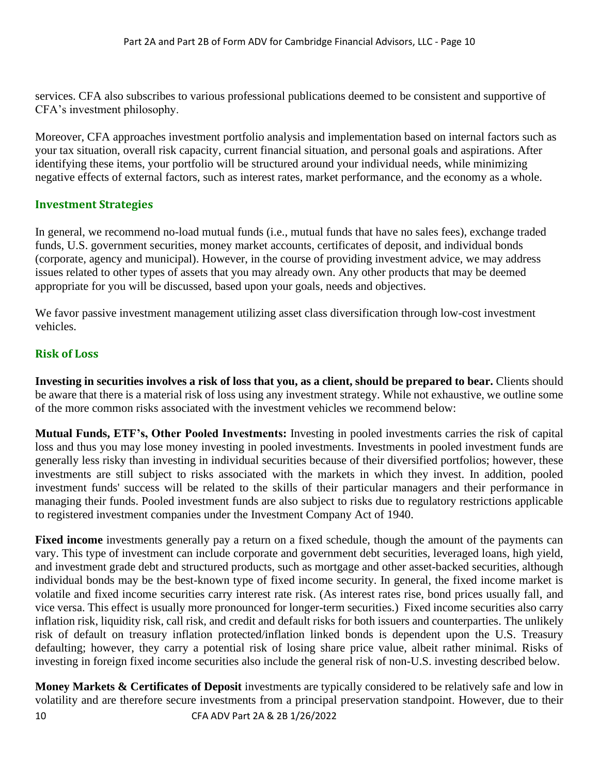services. CFA also subscribes to various professional publications deemed to be consistent and supportive of CFA's investment philosophy.

Moreover, CFA approaches investment portfolio analysis and implementation based on internal factors such as your tax situation, overall risk capacity, current financial situation, and personal goals and aspirations. After identifying these items, your portfolio will be structured around your individual needs, while minimizing negative effects of external factors, such as interest rates, market performance, and the economy as a whole.

## <span id="page-9-0"></span>**Investment Strategies**

In general, we recommend no-load mutual funds (i.e., mutual funds that have no sales fees), exchange traded funds, U.S. government securities, money market accounts, certificates of deposit, and individual bonds (corporate, agency and municipal). However, in the course of providing investment advice, we may address issues related to other types of assets that you may already own. Any other products that may be deemed appropriate for you will be discussed, based upon your goals, needs and objectives.

We favor passive investment management utilizing asset class diversification through low-cost investment vehicles.

## <span id="page-9-2"></span><span id="page-9-1"></span>**Risk of Loss**

**Investing in securities involves a risk of loss that you, as a client, should be prepared to bear.** Clients should be aware that there is a material risk of loss using any investment strategy. While not exhaustive, we outline some of the more common risks associated with the investment vehicles we recommend below:

**Mutual Funds, ETF's, Other Pooled Investments:** Investing in pooled investments carries the risk of capital loss and thus you may lose money investing in pooled investments. Investments in pooled investment funds are generally less risky than investing in individual securities because of their diversified portfolios; however, these investments are still subject to risks associated with the markets in which they invest. In addition, pooled investment funds' success will be related to the skills of their particular managers and their performance in managing their funds. Pooled investment funds are also subject to risks due to regulatory restrictions applicable to registered investment companies under the Investment Company Act of 1940.

**Fixed income** investments generally pay a return on a fixed schedule, though the amount of the payments can vary. This type of investment can include corporate and government debt securities, leveraged loans, high yield, and investment grade debt and structured products, such as mortgage and other asset-backed securities, although individual bonds may be the best-known type of fixed income security. In general, the fixed income market is volatile and fixed income securities carry interest rate risk. (As interest rates rise, bond prices usually fall, and vice versa. This effect is usually more pronounced for longer-term securities.) Fixed income securities also carry inflation risk, liquidity risk, call risk, and credit and default risks for both issuers and counterparties. The unlikely risk of default on treasury inflation protected/inflation linked bonds is dependent upon the U.S. Treasury defaulting; however, they carry a potential risk of losing share price value, albeit rather minimal. Risks of investing in foreign fixed income securities also include the general risk of non-U.S. investing described below.

10 CFA ADV Part 2A & 2B 1/26/2022 **Money Markets & Certificates of Deposit** investments are typically considered to be relatively safe and low in volatility and are therefore secure investments from a principal preservation standpoint. However, due to their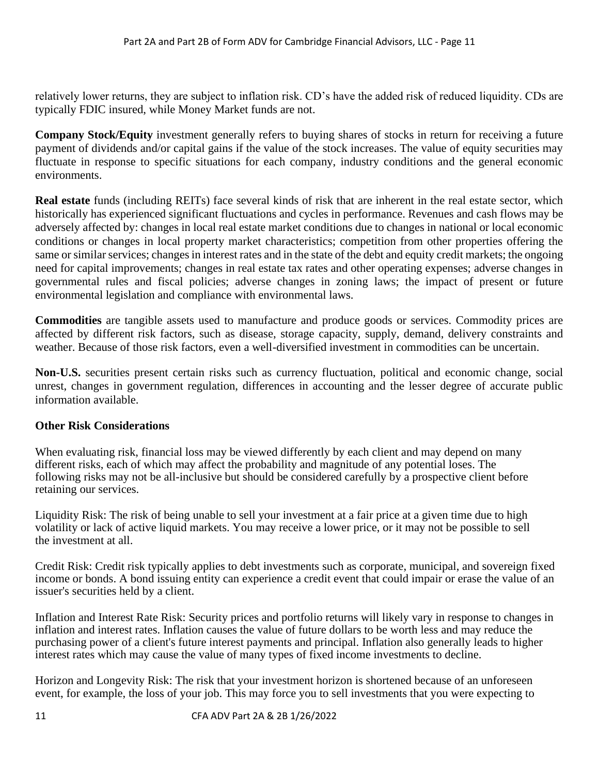relatively lower returns, they are subject to inflation risk. CD's have the added risk of reduced liquidity. CDs are typically FDIC insured, while Money Market funds are not.

**Company Stock/Equity** investment generally refers to buying shares of stocks in return for receiving a future payment of dividends and/or capital gains if the value of the stock increases. The value of equity securities may fluctuate in response to specific situations for each company, industry conditions and the general economic environments.

**Real estate** funds (including REITs) face several kinds of risk that are inherent in the real estate sector, which historically has experienced significant fluctuations and cycles in performance. Revenues and cash flows may be adversely affected by: changes in local real estate market conditions due to changes in national or local economic conditions or changes in local property market characteristics; competition from other properties offering the same or similar services; changes in interest rates and in the state of the debt and equity credit markets; the ongoing need for capital improvements; changes in real estate tax rates and other operating expenses; adverse changes in governmental rules and fiscal policies; adverse changes in zoning laws; the impact of present or future environmental legislation and compliance with environmental laws.

**Commodities** are tangible assets used to manufacture and produce goods or services. Commodity prices are affected by different risk factors, such as disease, storage capacity, supply, demand, delivery constraints and weather. Because of those risk factors, even a well-diversified investment in commodities can be uncertain.

**Non-U.S.** securities present certain risks such as currency fluctuation, political and economic change, social unrest, changes in government regulation, differences in accounting and the lesser degree of accurate public information available.

## **Other Risk Considerations**

When evaluating risk, financial loss may be viewed differently by each client and may depend on many different risks, each of which may affect the probability and magnitude of any potential loses. The following risks may not be all-inclusive but should be considered carefully by a prospective client before retaining our services.

Liquidity Risk: The risk of being unable to sell your investment at a fair price at a given time due to high volatility or lack of active liquid markets. You may receive a lower price, or it may not be possible to sell the investment at all.

Credit Risk: Credit risk typically applies to debt investments such as corporate, municipal, and sovereign fixed income or bonds. A bond issuing entity can experience a credit event that could impair or erase the value of an issuer's securities held by a client.

Inflation and Interest Rate Risk: Security prices and portfolio returns will likely vary in response to changes in inflation and interest rates. Inflation causes the value of future dollars to be worth less and may reduce the purchasing power of a client's future interest payments and principal. Inflation also generally leads to higher interest rates which may cause the value of many types of fixed income investments to decline.

Horizon and Longevity Risk: The risk that your investment horizon is shortened because of an unforeseen event, for example, the loss of your job. This may force you to sell investments that you were expecting to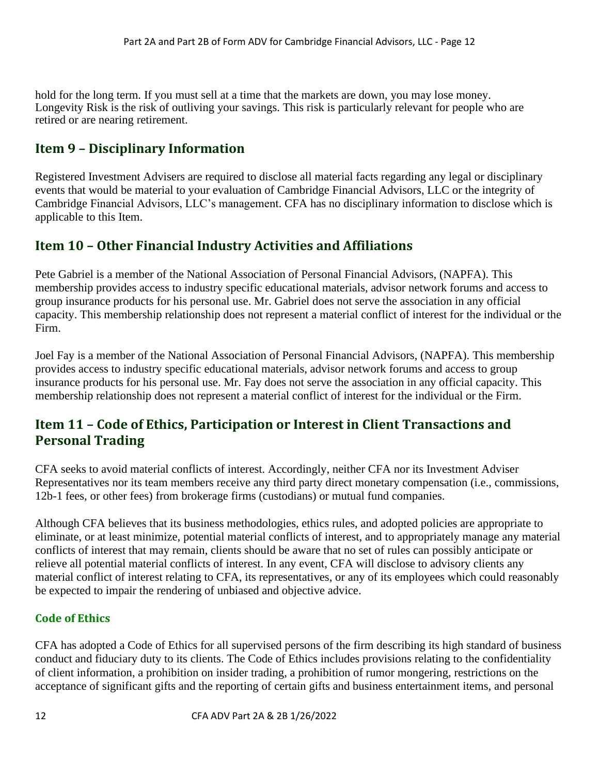hold for the long term. If you must sell at a time that the markets are down, you may lose money. Longevity Risk is the risk of outliving your savings. This risk is particularly relevant for people who are retired or are nearing retirement.

# **Item 9 – Disciplinary Information**

Registered Investment Advisers are required to disclose all material facts regarding any legal or disciplinary events that would be material to your evaluation of Cambridge Financial Advisors, LLC or the integrity of Cambridge Financial Advisors, LLC's management. CFA has no disciplinary information to disclose which is applicable to this Item.

# <span id="page-11-0"></span>**Item 10 – Other Financial Industry Activities and Affiliations**

<span id="page-11-1"></span>Pete Gabriel is a member of the National Association of Personal Financial Advisors, (NAPFA). This membership provides access to industry specific educational materials, advisor network forums and access to group insurance products for his personal use. Mr. Gabriel does not serve the association in any official capacity. This membership relationship does not represent a material conflict of interest for the individual or the Firm.

Joel Fay is a member of the National Association of Personal Financial Advisors, (NAPFA). This membership provides access to industry specific educational materials, advisor network forums and access to group insurance products for his personal use. Mr. Fay does not serve the association in any official capacity. This membership relationship does not represent a material conflict of interest for the individual or the Firm.

# **Item 11 – Code of Ethics, Participation or Interest in Client Transactions and Personal Trading**

CFA seeks to avoid material conflicts of interest. Accordingly, neither CFA nor its Investment Adviser Representatives nor its team members receive any third party direct monetary compensation (i.e., commissions, 12b-1 fees, or other fees) from brokerage firms (custodians) or mutual fund companies.

Although CFA believes that its business methodologies, ethics rules, and adopted policies are appropriate to eliminate, or at least minimize, potential material conflicts of interest, and to appropriately manage any material conflicts of interest that may remain, clients should be aware that no set of rules can possibly anticipate or relieve all potential material conflicts of interest. In any event, CFA will disclose to advisory clients any material conflict of interest relating to CFA, its representatives, or any of its employees which could reasonably be expected to impair the rendering of unbiased and objective advice.

## <span id="page-11-2"></span>**Code of Ethics**

CFA has adopted a Code of Ethics for all supervised persons of the firm describing its high standard of business conduct and fiduciary duty to its clients. The Code of Ethics includes provisions relating to the confidentiality of client information, a prohibition on insider trading, a prohibition of rumor mongering, restrictions on the acceptance of significant gifts and the reporting of certain gifts and business entertainment items, and personal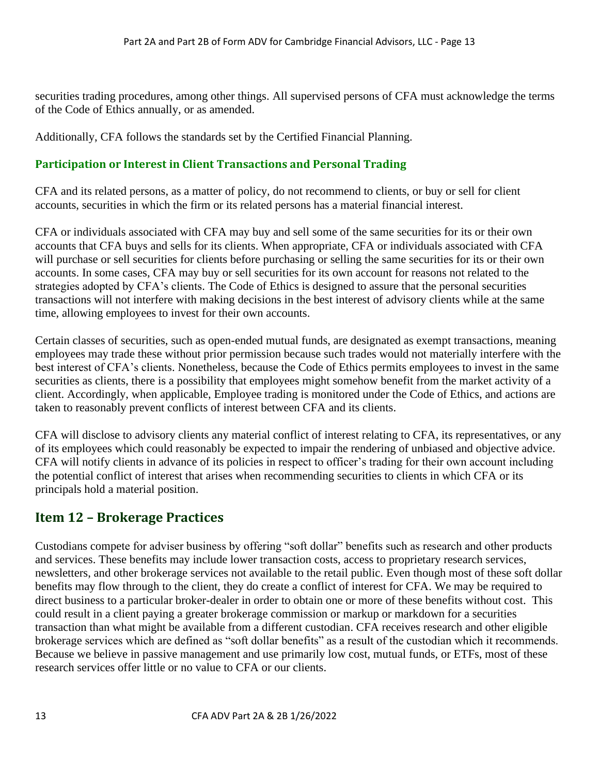securities trading procedures, among other things. All supervised persons of CFA must acknowledge the terms of the Code of Ethics annually, or as amended.

Additionally, CFA follows the standards set by the Certified Financial Planning.

# <span id="page-12-0"></span>**Participation or Interest in Client Transactions and Personal Trading**

CFA and its related persons, as a matter of policy, do not recommend to clients, or buy or sell for client accounts, securities in which the firm or its related persons has a material financial interest.

CFA or individuals associated with CFA may buy and sell some of the same securities for its or their own accounts that CFA buys and sells for its clients. When appropriate, CFA or individuals associated with CFA will purchase or sell securities for clients before purchasing or selling the same securities for its or their own accounts. In some cases, CFA may buy or sell securities for its own account for reasons not related to the strategies adopted by CFA's clients. The Code of Ethics is designed to assure that the personal securities transactions will not interfere with making decisions in the best interest of advisory clients while at the same time, allowing employees to invest for their own accounts.

Certain classes of securities, such as open-ended mutual funds, are designated as exempt transactions, meaning employees may trade these without prior permission because such trades would not materially interfere with the best interest of CFA's clients. Nonetheless, because the Code of Ethics permits employees to invest in the same securities as clients, there is a possibility that employees might somehow benefit from the market activity of a client. Accordingly, when applicable, Employee trading is monitored under the Code of Ethics, and actions are taken to reasonably prevent conflicts of interest between CFA and its clients.

CFA will disclose to advisory clients any material conflict of interest relating to CFA, its representatives, or any of its employees which could reasonably be expected to impair the rendering of unbiased and objective advice. CFA will notify clients in advance of its policies in respect to officer's trading for their own account including the potential conflict of interest that arises when recommending securities to clients in which CFA or its principals hold a material position.

# <span id="page-12-1"></span>**Item 12 – Brokerage Practices**

Custodians compete for adviser business by offering "soft dollar" benefits such as research and other products and services. These benefits may include lower transaction costs, access to proprietary research services, newsletters, and other brokerage services not available to the retail public. Even though most of these soft dollar benefits may flow through to the client, they do create a conflict of interest for CFA. We may be required to direct business to a particular broker-dealer in order to obtain one or more of these benefits without cost. This could result in a client paying a greater brokerage commission or markup or markdown for a securities transaction than what might be available from a different custodian. CFA receives research and other eligible brokerage services which are defined as "soft dollar benefits" as a result of the custodian which it recommends. Because we believe in passive management and use primarily low cost, mutual funds, or ETFs, most of these research services offer little or no value to CFA or our clients.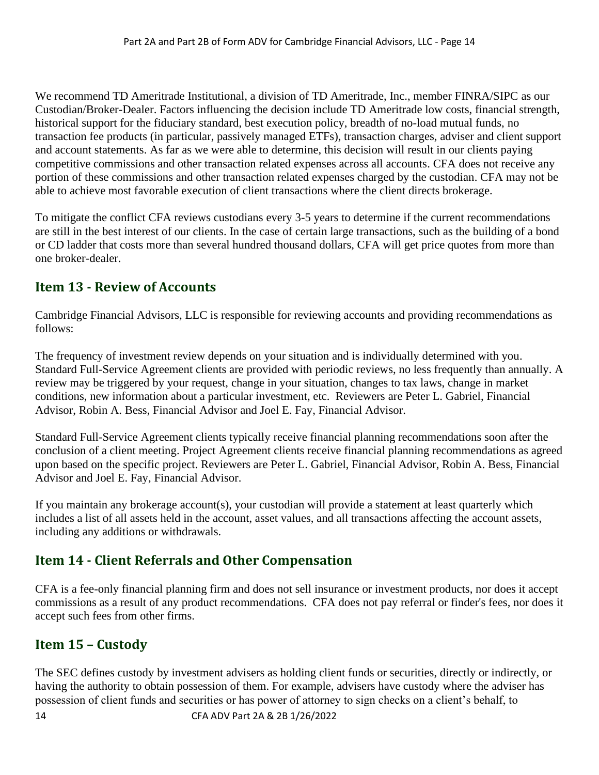We recommend TD Ameritrade Institutional, a division of TD Ameritrade, Inc., member FINRA/SIPC as our Custodian/Broker-Dealer. Factors influencing the decision include TD Ameritrade low costs, financial strength, historical support for the fiduciary standard, best execution policy, breadth of no-load mutual funds, no transaction fee products (in particular, passively managed ETFs), transaction charges, adviser and client support and account statements. As far as we were able to determine, this decision will result in our clients paying competitive commissions and other transaction related expenses across all accounts. CFA does not receive any portion of these commissions and other transaction related expenses charged by the custodian. CFA may not be able to achieve most favorable execution of client transactions where the client directs brokerage.

To mitigate the conflict CFA reviews custodians every 3-5 years to determine if the current recommendations are still in the best interest of our clients. In the case of certain large transactions, such as the building of a bond or CD ladder that costs more than several hundred thousand dollars, CFA will get price quotes from more than one broker-dealer.

# <span id="page-13-0"></span>**Item 13 - Review of Accounts**

Cambridge Financial Advisors, LLC is responsible for reviewing accounts and providing recommendations as follows:

The frequency of investment review depends on your situation and is individually determined with you. Standard Full-Service Agreement clients are provided with periodic reviews, no less frequently than annually. A review may be triggered by your request, change in your situation, changes to tax laws, change in market conditions, new information about a particular investment, etc. Reviewers are Peter L. Gabriel, Financial Advisor, Robin A. Bess, Financial Advisor and Joel E. Fay, Financial Advisor.

Standard Full-Service Agreement clients typically receive financial planning recommendations soon after the conclusion of a client meeting. Project Agreement clients receive financial planning recommendations as agreed upon based on the specific project. Reviewers are Peter L. Gabriel, Financial Advisor, Robin A. Bess, Financial Advisor and Joel E. Fay, Financial Advisor.

If you maintain any brokerage account(s), your custodian will provide a statement at least quarterly which includes a list of all assets held in the account, asset values, and all transactions affecting the account assets, including any additions or withdrawals.

# <span id="page-13-1"></span>**Item 14 - Client Referrals and Other Compensation**

CFA is a fee-only financial planning firm and does not sell insurance or investment products, nor does it accept commissions as a result of any product recommendations. CFA does not pay referral or finder's fees, nor does it accept such fees from other firms.

# <span id="page-13-2"></span>**Item 15 – Custody**

The SEC defines custody by investment advisers as holding client funds or securities, directly or indirectly, or having the authority to obtain possession of them. For example, advisers have custody where the adviser has possession of client funds and securities or has power of attorney to sign checks on a client's behalf, to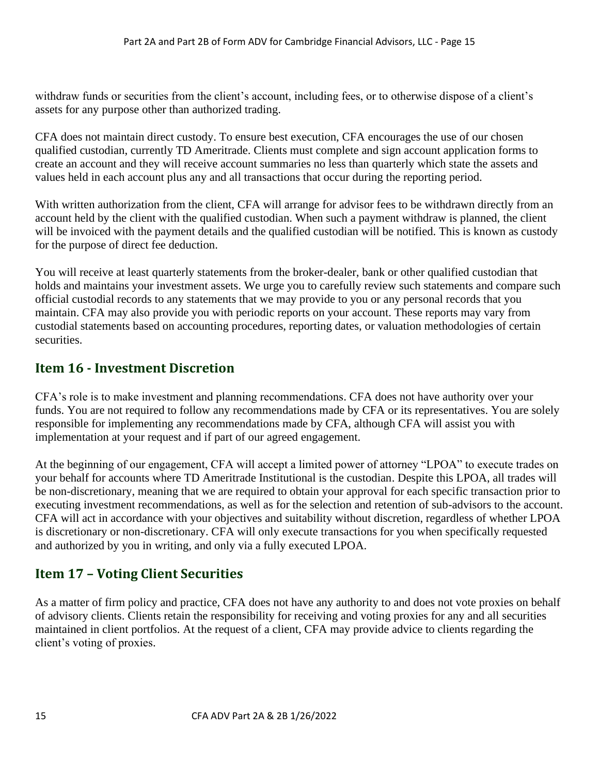withdraw funds or securities from the client's account, including fees, or to otherwise dispose of a client's assets for any purpose other than authorized trading.

CFA does not maintain direct custody. To ensure best execution, CFA encourages the use of our chosen qualified custodian, currently TD Ameritrade. Clients must complete and sign account application forms to create an account and they will receive account summaries no less than quarterly which state the assets and values held in each account plus any and all transactions that occur during the reporting period.

With written authorization from the client, CFA will arrange for advisor fees to be withdrawn directly from an account held by the client with the qualified custodian. When such a payment withdraw is planned, the client will be invoiced with the payment details and the qualified custodian will be notified. This is known as custody for the purpose of direct fee deduction.

You will receive at least quarterly statements from the broker-dealer, bank or other qualified custodian that holds and maintains your investment assets. We urge you to carefully review such statements and compare such official custodial records to any statements that we may provide to you or any personal records that you maintain. CFA may also provide you with periodic reports on your account. These reports may vary from custodial statements based on accounting procedures, reporting dates, or valuation methodologies of certain securities.

# <span id="page-14-0"></span>**Item 16 - Investment Discretion**

CFA's role is to make investment and planning recommendations. CFA does not have authority over your funds. You are not required to follow any recommendations made by CFA or its representatives. You are solely responsible for implementing any recommendations made by CFA, although CFA will assist you with implementation at your request and if part of our agreed engagement.

At the beginning of our engagement, CFA will accept a limited power of attorney "LPOA" to execute trades on your behalf for accounts where TD Ameritrade Institutional is the custodian. Despite this LPOA, all trades will be non-discretionary, meaning that we are required to obtain your approval for each specific transaction prior to executing investment recommendations, as well as for the selection and retention of sub-advisors to the account. CFA will act in accordance with your objectives and suitability without discretion, regardless of whether LPOA is discretionary or non-discretionary. CFA will only execute transactions for you when specifically requested and authorized by you in writing, and only via a fully executed LPOA.

# <span id="page-14-1"></span>**Item 17 – Voting Client Securities**

As a matter of firm policy and practice, CFA does not have any authority to and does not vote proxies on behalf of advisory clients. Clients retain the responsibility for receiving and voting proxies for any and all securities maintained in client portfolios. At the request of a client, CFA may provide advice to clients regarding the client's voting of proxies.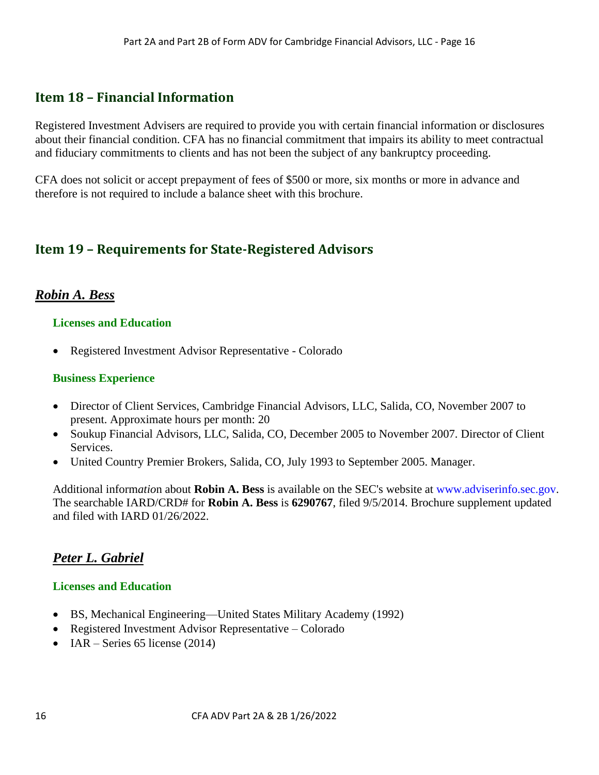# <span id="page-15-0"></span>**Item 18 – Financial Information**

Registered Investment Advisers are required to provide you with certain financial information or disclosures about their financial condition. CFA has no financial commitment that impairs its ability to meet contractual and fiduciary commitments to clients and has not been the subject of any bankruptcy proceeding.

CFA does not solicit or accept prepayment of fees of \$500 or more, six months or more in advance and therefore is not required to include a balance sheet with this brochure.

# <span id="page-15-1"></span>**Item 19 – Requirements for State-Registered Advisors**

# *Robin A. Bess*

## <span id="page-15-2"></span>**Licenses and Education**

• Registered Investment Advisor Representative - Colorado

## <span id="page-15-3"></span>**Business Experience**

- Director of Client Services, Cambridge Financial Advisors, LLC, Salida, CO, November 2007 to present. Approximate hours per month: 20
- Soukup Financial Advisors, LLC, Salida, CO, December 2005 to November 2007. Director of Client Services.
- United Country Premier Brokers, Salida, CO, July 1993 to September 2005. Manager.

Additional inform*atio*n about **Robin A. Bess** is available on the SEC's website at www.adviserinfo.sec.gov. The searchable IARD/CRD# for **Robin A. Bess** is **6290767**, filed 9/5/2014. Brochure supplement updated and filed with IARD 01/26/2022.

# *Peter L. Gabriel*

## <span id="page-15-4"></span>**Licenses and Education**

- BS, Mechanical Engineering—United States Military Academy (1992)
- Registered Investment Advisor Representative Colorado
- IAR Series 65 license  $(2014)$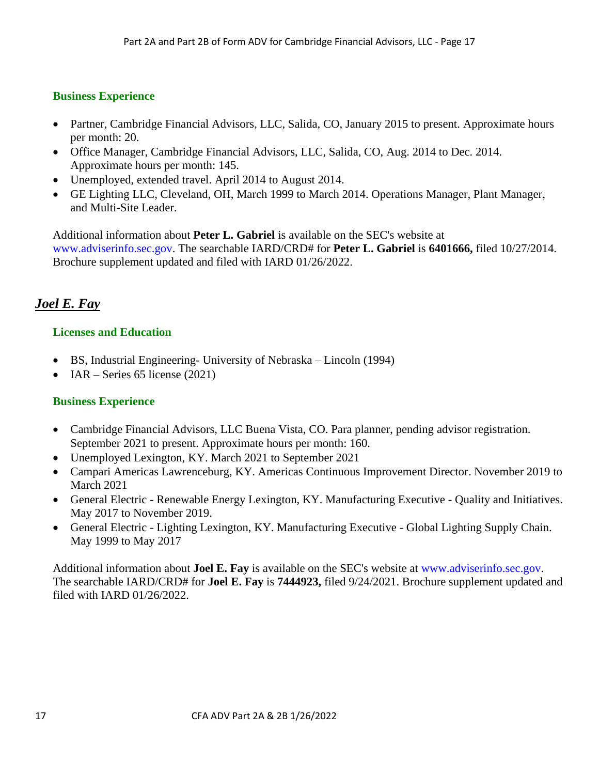## <span id="page-16-0"></span>**Business Experience**

- Partner, Cambridge Financial Advisors, LLC, Salida, CO, January 2015 to present. Approximate hours per month: 20.
- Office Manager, Cambridge Financial Advisors, LLC, Salida, CO, Aug. 2014 to Dec. 2014. Approximate hours per month: 145.
- Unemployed, extended travel. April 2014 to August 2014.
- GE Lighting LLC, Cleveland, OH, March 1999 to March 2014. Operations Manager, Plant Manager, and Multi-Site Leader.

Additional information about **Peter L. Gabriel** is available on the SEC's website at www.adviserinfo.sec.gov. The searchable IARD/CRD# for **Peter L. Gabriel** is **6401666,** filed 10/27/2014. Brochure supplement updated and filed with IARD 01/26/2022.

# *Joel E. Fay*

## <span id="page-16-1"></span>**Licenses and Education**

- <span id="page-16-2"></span>• BS, Industrial Engineering- University of Nebraska – Lincoln (1994)
- IAR Series 65 license (2021)

## **Business Experience**

- Cambridge Financial Advisors, LLC Buena Vista, CO. Para planner, pending advisor registration. September 2021 to present. Approximate hours per month: 160.
- Unemployed Lexington, KY. March 2021 to September 2021
- Campari Americas Lawrenceburg, KY. Americas Continuous Improvement Director. November 2019 to March 2021
- General Electric Renewable Energy Lexington, KY. Manufacturing Executive Quality and Initiatives. May 2017 to November 2019.
- General Electric Lighting Lexington, KY. Manufacturing Executive Global Lighting Supply Chain. May 1999 to May 2017

Additional information about **Joel E. Fay** is available on the SEC's website at www.adviserinfo.sec.gov. The searchable IARD/CRD# for **Joel E. Fay** is **7444923,** filed 9/24/2021. Brochure supplement updated and filed with IARD 01/26/2022.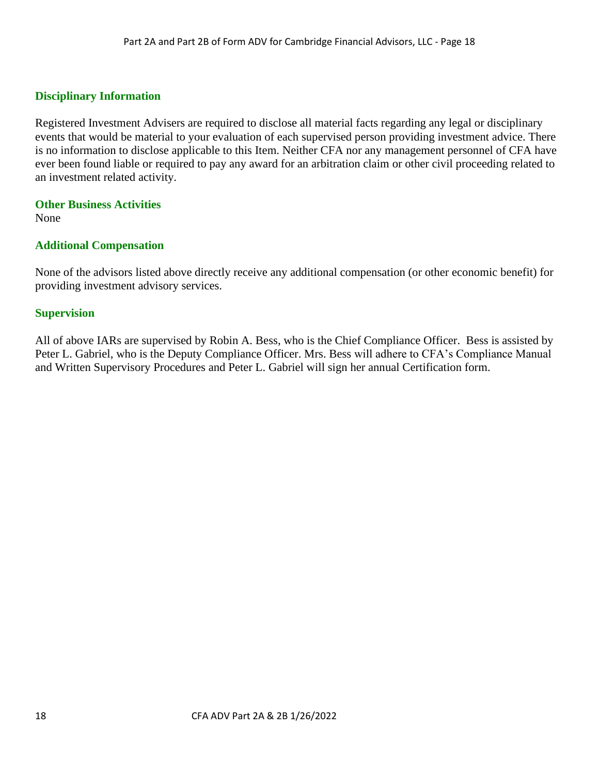## <span id="page-17-0"></span>**Disciplinary Information**

Registered Investment Advisers are required to disclose all material facts regarding any legal or disciplinary events that would be material to your evaluation of each supervised person providing investment advice. There is no information to disclose applicable to this Item. Neither CFA nor any management personnel of CFA have ever been found liable or required to pay any award for an arbitration claim or other civil proceeding related to an investment related activity.

### <span id="page-17-1"></span>**Other Business Activities**

None

## <span id="page-17-2"></span>**Additional Compensation**

None of the advisors listed above directly receive any additional compensation (or other economic benefit) for providing investment advisory services.

#### <span id="page-17-3"></span>**Supervision**

All of above IARs are supervised by Robin A. Bess, who is the Chief Compliance Officer. Bess is assisted by Peter L. Gabriel, who is the Deputy Compliance Officer. Mrs. Bess will adhere to CFA's Compliance Manual and Written Supervisory Procedures and Peter L. Gabriel will sign her annual Certification form.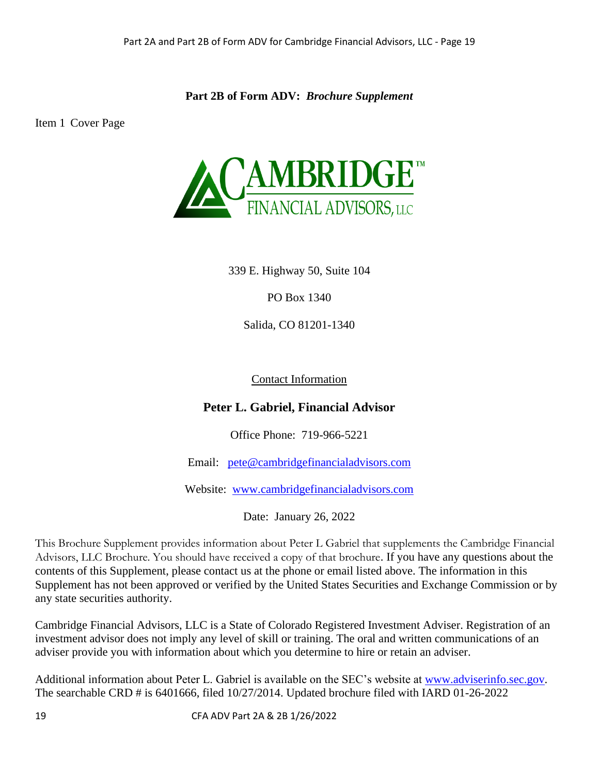**Part 2B of Form ADV:** *Brochure Supplement*

Item 1 Cover Page



339 E. Highway 50, Suite 104

PO Box 1340

Salida, CO 81201-1340

Contact Information

# **Peter L. Gabriel, Financial Advisor**

Office Phone: 719-966-5221

Email: [pete@cambridgefinancialadvisors.com](mailto:pete@cambridgefinancialadvisors.com) 

Website: [www.cambridgefinancialadvisors.com](http://www.cambridgefinancialadvisors.com/)

Date: January 26, 2022

This Brochure Supplement provides information about Peter L Gabriel that supplements the Cambridge Financial Advisors, LLC Brochure. You should have received a copy of that brochure. If you have any questions about the contents of this Supplement, please contact us at the phone or email listed above. The information in this Supplement has not been approved or verified by the United States Securities and Exchange Commission or by any state securities authority.

Cambridge Financial Advisors, LLC is a State of Colorado Registered Investment Adviser. Registration of an investment advisor does not imply any level of skill or training. The oral and written communications of an adviser provide you with information about which you determine to hire or retain an adviser.

Additional information about Peter L. Gabriel is available on the SEC's website at [www.adviserinfo.sec.gov.](http://www.adviserinfo.sec.gov/) The searchable CRD # is 6401666, filed 10/27/2014. Updated brochure filed with IARD 01-26-2022

19 CFA ADV Part 2A & 2B 1/26/2022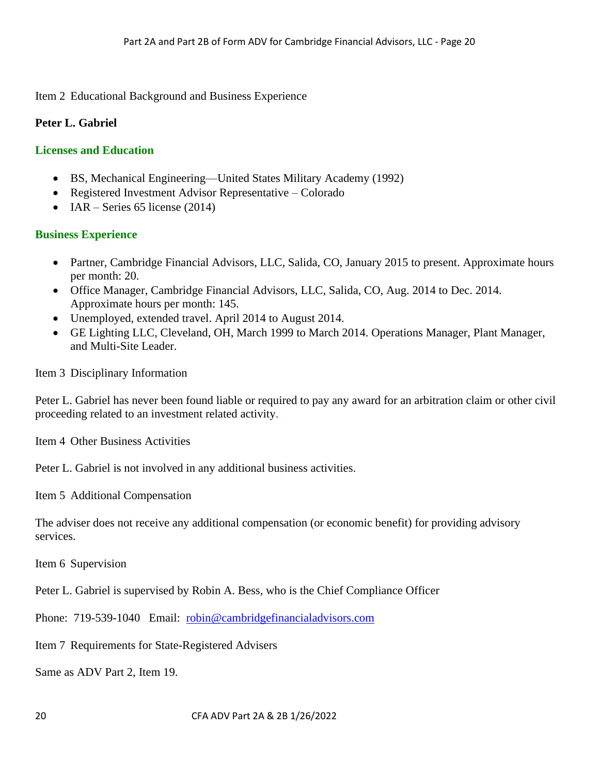Item 2 Educational Background and Business Experience

### **Peter L. Gabriel**

#### **Licenses and Education**

- BS, Mechanical Engineering—United States Military Academy (1992)
- Registered Investment Advisor Representative Colorado
- IAR Series 65 license (2014)

### **Business Experience**

- Partner, Cambridge Financial Advisors, LLC, Salida, CO, January 2015 to present. Approximate hours per month: 20.
- Office Manager, Cambridge Financial Advisors, LLC, Salida, CO, Aug. 2014 to Dec. 2014. Approximate hours per month: 145.
- Unemployed, extended travel. April 2014 to August 2014.
- GE Lighting LLC, Cleveland, OH, March 1999 to March 2014. Operations Manager, Plant Manager, and Multi-Site Leader.

Item 3 Disciplinary Information

Peter L. Gabriel has never been found liable or required to pay any award for an arbitration claim or other civil proceeding related to an investment related activity.

Item 4 Other Business Activities

Peter L. Gabriel is not involved in any additional business activities.

Item 5 Additional Compensation

The adviser does not receive any additional compensation (or economic benefit) for providing advisory services.

Item 6 Supervision

Peter L. Gabriel is supervised by Robin A. Bess, who is the Chief Compliance Officer

Phone: 719-539-1040 Email: [robin@cambridgefinancialadvisors.com](mailto:robin@cambridgefinancialadvisors.com)

Item 7 Requirements for State-Registered Advisers

Same as ADV Part 2, Item 19.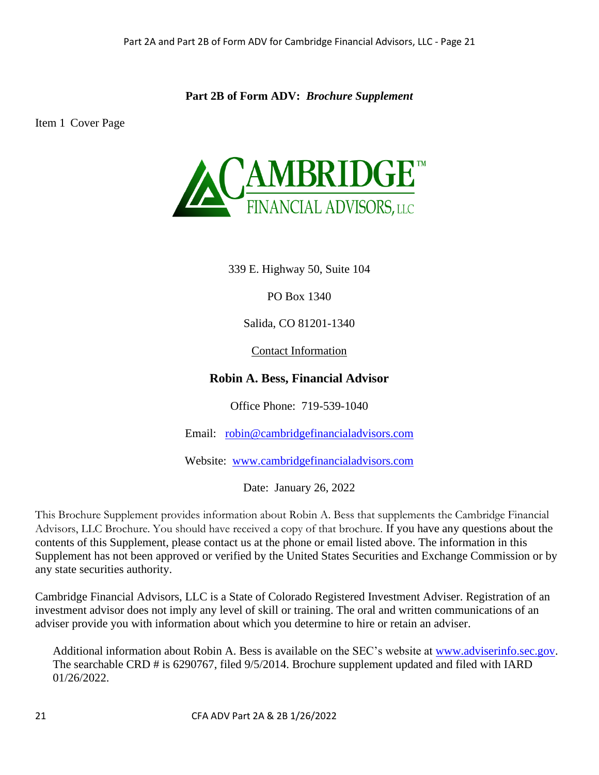**Part 2B of Form ADV:** *Brochure Supplement*

Item 1 Cover Page



339 E. Highway 50, Suite 104

PO Box 1340

Salida, CO 81201-1340

Contact Information

# **Robin A. Bess, Financial Advisor**

Office Phone: 719-539-1040

Email: [robin@cambridgefinancialadvisors.com](mailto:robin@cambridgefinancialadvisors.com) 

Website: [www.cambridgefinancialadvisors.com](http://www.cambridgefinancialadvisors.com/)

Date: January 26, 2022

This Brochure Supplement provides information about Robin A. Bess that supplements the Cambridge Financial Advisors, LLC Brochure. You should have received a copy of that brochure. If you have any questions about the contents of this Supplement, please contact us at the phone or email listed above. The information in this Supplement has not been approved or verified by the United States Securities and Exchange Commission or by any state securities authority.

Cambridge Financial Advisors, LLC is a State of Colorado Registered Investment Adviser. Registration of an investment advisor does not imply any level of skill or training. The oral and written communications of an adviser provide you with information about which you determine to hire or retain an adviser.

Additional information about Robin A. Bess is available on the SEC's website at [www.adviserinfo.sec.gov.](http://www.adviserinfo.sec.gov/) The searchable CRD # is 6290767, filed 9/5/2014. Brochure supplement updated and filed with IARD 01/26/2022.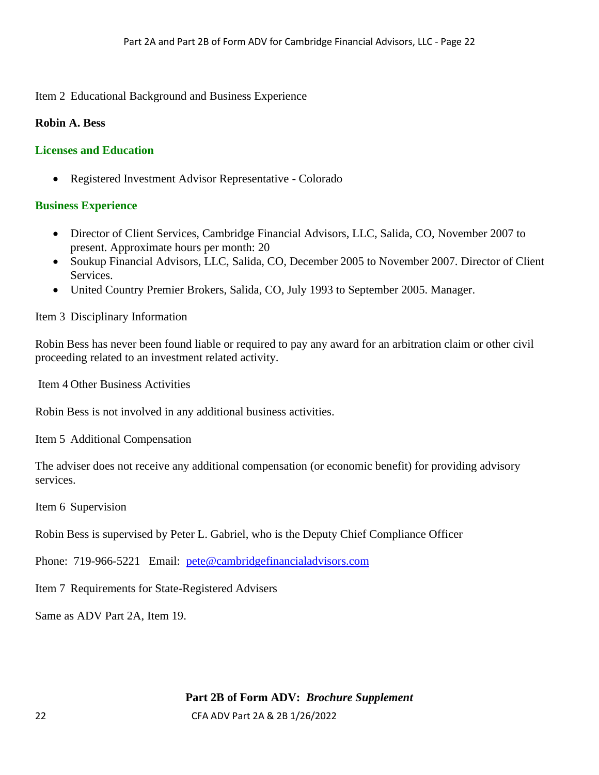### Item 2 Educational Background and Business Experience

### **Robin A. Bess**

### **Licenses and Education**

• Registered Investment Advisor Representative - Colorado

### **Business Experience**

- Director of Client Services, Cambridge Financial Advisors, LLC, Salida, CO, November 2007 to present. Approximate hours per month: 20
- Soukup Financial Advisors, LLC, Salida, CO, December 2005 to November 2007. Director of Client Services.
- United Country Premier Brokers, Salida, CO, July 1993 to September 2005. Manager.

Item 3 Disciplinary Information

Robin Bess has never been found liable or required to pay any award for an arbitration claim or other civil proceeding related to an investment related activity.

Item 4 Other Business Activities

Robin Bess is not involved in any additional business activities.

Item 5 Additional Compensation

The adviser does not receive any additional compensation (or economic benefit) for providing advisory services.

Item 6 Supervision

Robin Bess is supervised by Peter L. Gabriel, who is the Deputy Chief Compliance Officer

Phone: 719-966-5221 Email: [pete@cambridgefinancialadvisors.com](mailto:pete@cambridgefinancialadvisors.com)

Item 7 Requirements for State-Registered Advisers

Same as ADV Part 2A, Item 19.

**Part 2B of Form ADV:** *Brochure Supplement*

22 CFA ADV Part 2A & 2B 1/26/2022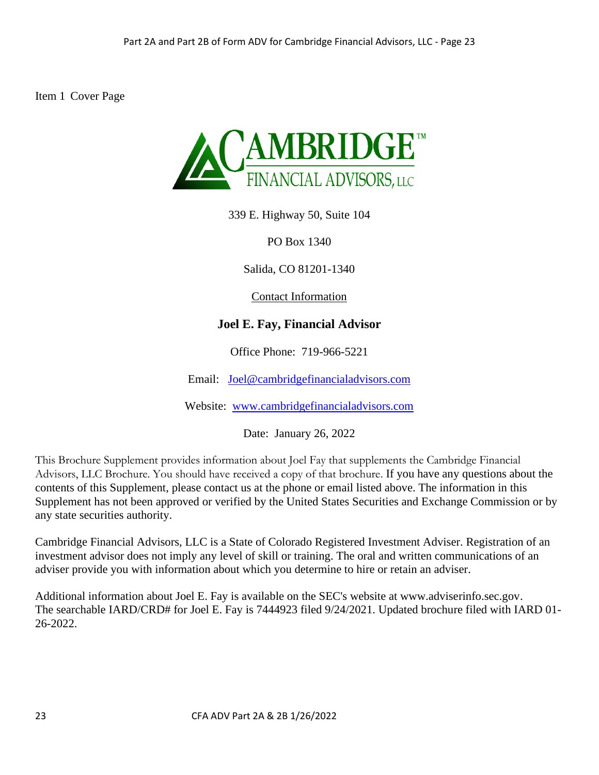Item 1 Cover Page



339 E. Highway 50, Suite 104

PO Box 1340

Salida, CO 81201-1340

Contact Information

# **Joel E. Fay, Financial Advisor**

Office Phone: 719-966-5221

Email: [Joel@cambridgefinancialadvisors.com](mailto:Joel@cambridgefinancialadvisors.com) 

Website: [www.cambridgefinancialadvisors.com](http://www.cambridgefinancialadvisors.com/)

Date: January 26, 2022

This Brochure Supplement provides information about Joel Fay that supplements the Cambridge Financial Advisors, LLC Brochure. You should have received a copy of that brochure. If you have any questions about the contents of this Supplement, please contact us at the phone or email listed above. The information in this Supplement has not been approved or verified by the United States Securities and Exchange Commission or by any state securities authority.

Cambridge Financial Advisors, LLC is a State of Colorado Registered Investment Adviser. Registration of an investment advisor does not imply any level of skill or training. The oral and written communications of an adviser provide you with information about which you determine to hire or retain an adviser.

Additional information about Joel E. Fay is available on the SEC's website at www.adviserinfo.sec.gov. The searchable IARD/CRD# for Joel E. Fay is 7444923 filed 9/24/2021. Updated brochure filed with IARD 01- 26-2022.